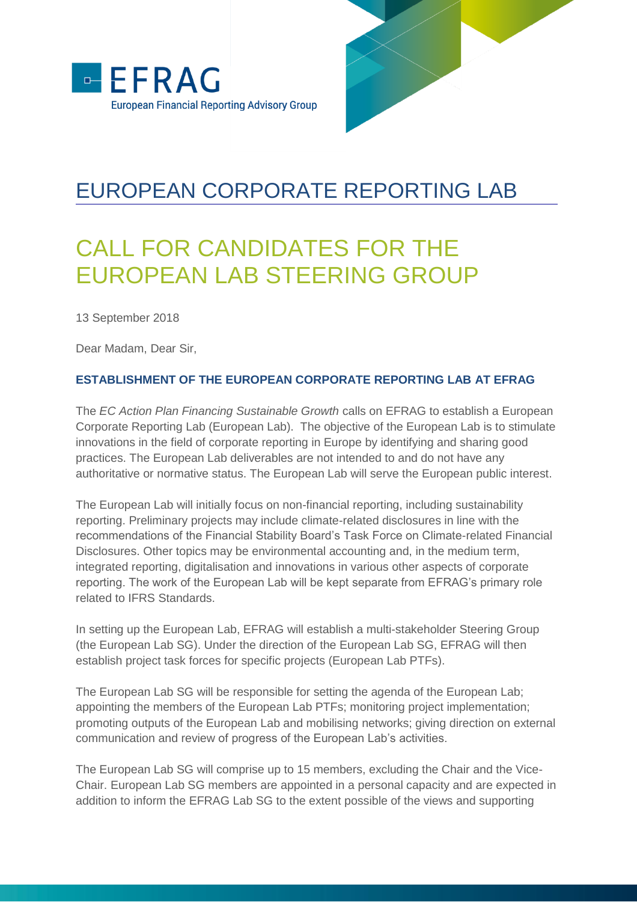

## EUROPEAN CORPORATE REPORTING LAB

# CALL FOR CANDIDATES FOR THE EUROPEAN LAB STEERING GROUP

13 September 2018

Dear Madam, Dear Sir,

### **ESTABLISHMENT OF THE EUROPEAN CORPORATE REPORTING LAB AT EFRAG**

The *EC Action Plan Financing Sustainable Growth* calls on EFRAG to establish a European Corporate Reporting Lab (European Lab). The objective of the European Lab is to stimulate innovations in the field of corporate reporting in Europe by identifying and sharing good practices. The European Lab deliverables are not intended to and do not have any authoritative or normative status. The European Lab will serve the European public interest.

The European Lab will initially focus on non-financial reporting, including sustainability reporting. Preliminary projects may include climate-related disclosures in line with the recommendations of the Financial Stability Board's Task Force on Climate-related Financial Disclosures. Other topics may be environmental accounting and, in the medium term, integrated reporting, digitalisation and innovations in various other aspects of corporate reporting. The work of the European Lab will be kept separate from EFRAG's primary role related to IFRS Standards.

In setting up the European Lab, EFRAG will establish a multi-stakeholder Steering Group (the European Lab SG). Under the direction of the European Lab SG, EFRAG will then establish project task forces for specific projects (European Lab PTFs).

The European Lab SG will be responsible for setting the agenda of the European Lab; appointing the members of the European Lab PTFs; monitoring project implementation; promoting outputs of the European Lab and mobilising networks; giving direction on external communication and review of progress of the European Lab's activities.

The European Lab SG will comprise up to 15 members, excluding the Chair and the Vice-Chair. European Lab SG members are appointed in a personal capacity and are expected in addition to inform the EFRAG Lab SG to the extent possible of the views and supporting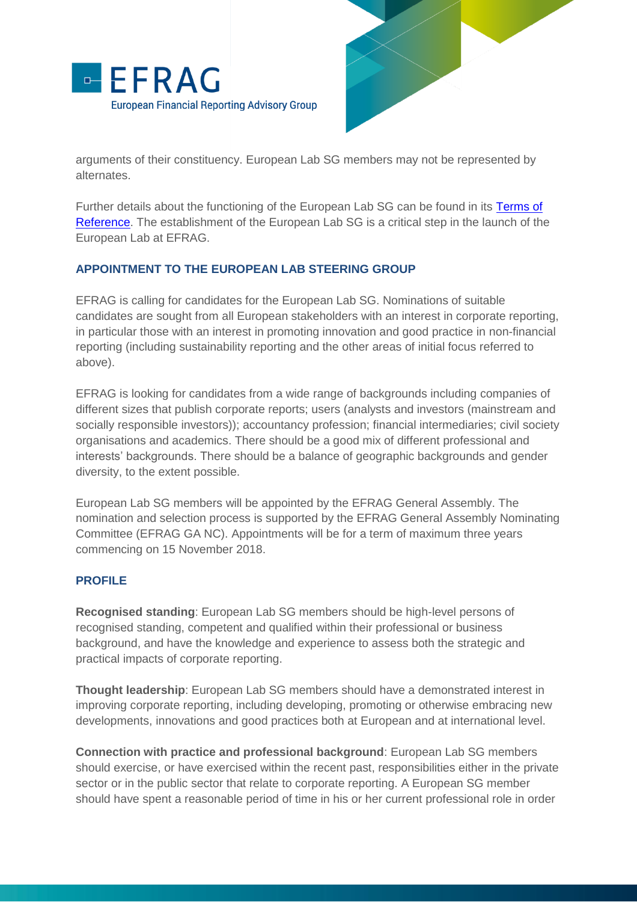



arguments of their constituency. European Lab SG members may not be represented by alternates.

Further details about the functioning of the European Lab SG can be found in its [Terms of](http://efrag.org/Assets/Download?assetUrl=%2Fsites%2Fwebpublishing%2FProject%20Documents%2F1807101446085163%2FEuropean%20Lab%20SG%20terms%20of%20reference.pdf)  [Reference.](http://efrag.org/Assets/Download?assetUrl=%2Fsites%2Fwebpublishing%2FProject%20Documents%2F1807101446085163%2FEuropean%20Lab%20SG%20terms%20of%20reference.pdf) The establishment of the European Lab SG is a critical step in the launch of the European Lab at EFRAG.

#### **APPOINTMENT TO THE EUROPEAN LAB STEERING GROUP**

EFRAG is calling for candidates for the European Lab SG. Nominations of suitable candidates are sought from all European stakeholders with an interest in corporate reporting, in particular those with an interest in promoting innovation and good practice in non-financial reporting (including sustainability reporting and the other areas of initial focus referred to above).

EFRAG is looking for candidates from a wide range of backgrounds including companies of different sizes that publish corporate reports; users (analysts and investors (mainstream and socially responsible investors)); accountancy profession; financial intermediaries; civil society organisations and academics. There should be a good mix of different professional and interests' backgrounds. There should be a balance of geographic backgrounds and gender diversity, to the extent possible.

European Lab SG members will be appointed by the EFRAG General Assembly. The nomination and selection process is supported by the EFRAG General Assembly Nominating Committee (EFRAG GA NC). Appointments will be for a term of maximum three years commencing on 15 November 2018.

#### **PROFILE**

**Recognised standing**: European Lab SG members should be high-level persons of recognised standing, competent and qualified within their professional or business background, and have the knowledge and experience to assess both the strategic and practical impacts of corporate reporting.

**Thought leadership**: European Lab SG members should have a demonstrated interest in improving corporate reporting, including developing, promoting or otherwise embracing new developments, innovations and good practices both at European and at international level.

**Connection with practice and professional background**: European Lab SG members should exercise, or have exercised within the recent past, responsibilities either in the private sector or in the public sector that relate to corporate reporting. A European SG member should have spent a reasonable period of time in his or her current professional role in order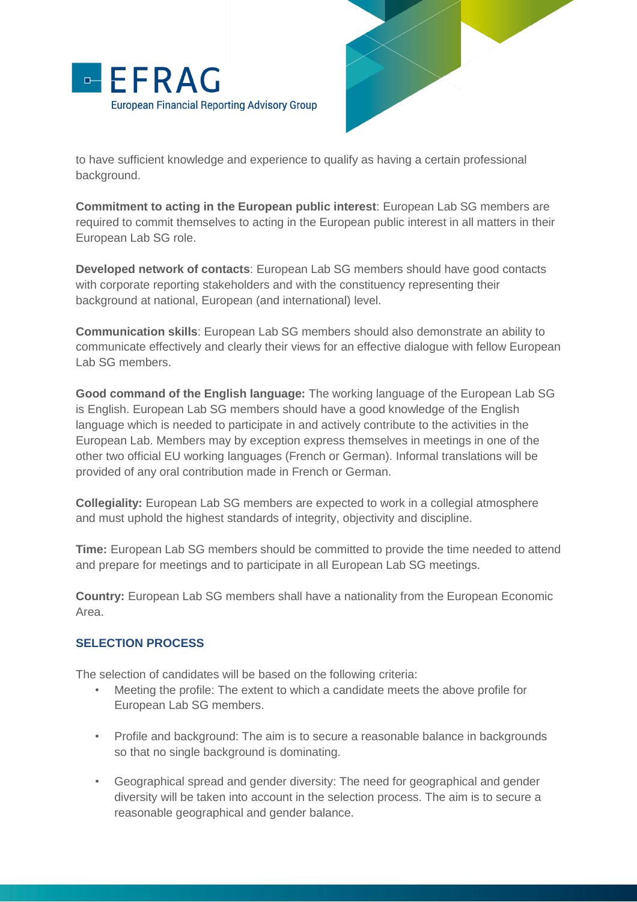



to have sufficient knowledge and experience to qualify as having a certain professional background.

**Commitment to acting in the European public interest**: European Lab SG members are required to commit themselves to acting in the European public interest in all matters in their European Lab SG role.

**Developed network of contacts**: European Lab SG members should have good contacts with corporate reporting stakeholders and with the constituency representing their background at national, European (and international) level.

**Communication skills**: European Lab SG members should also demonstrate an ability to communicate effectively and clearly their views for an effective dialogue with fellow European Lab SG members.

**Good command of the English language:** The working language of the European Lab SG is English. European Lab SG members should have a good knowledge of the English language which is needed to participate in and actively contribute to the activities in the European Lab. Members may by exception express themselves in meetings in one of the other two official EU working languages (French or German). Informal translations will be provided of any oral contribution made in French or German.

**Collegiality:** European Lab SG members are expected to work in a collegial atmosphere and must uphold the highest standards of integrity, objectivity and discipline.

**Time:** European Lab SG members should be committed to provide the time needed to attend and prepare for meetings and to participate in all European Lab SG meetings.

**Country:** European Lab SG members shall have a nationality from the European Economic Area.

#### **SELECTION PROCESS**

The selection of candidates will be based on the following criteria:

- Meeting the profile: The extent to which a candidate meets the above profile for European Lab SG members.
- Profile and background: The aim is to secure a reasonable balance in backgrounds so that no single background is dominating.
- Geographical spread and gender diversity: The need for geographical and gender diversity will be taken into account in the selection process. The aim is to secure a reasonable geographical and gender balance.